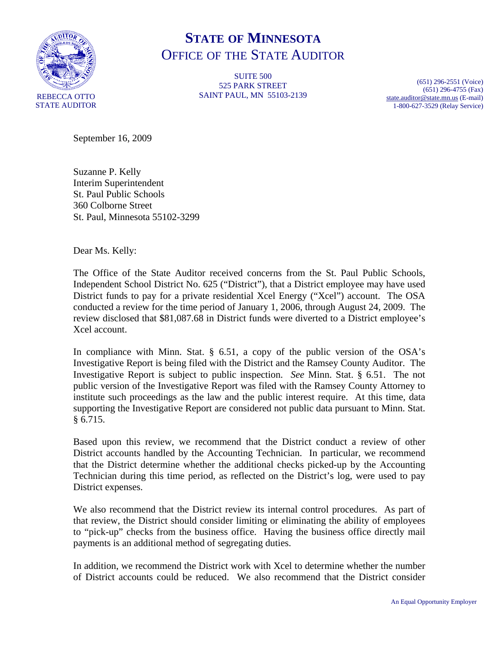

## **STATE OF MINNESOTA** OFFICE OF THE STATE AUDITOR

**SUITE 500** 525 PARK STREET SAINT PAUL, MN 55103-2139

(651) 296-2551 (Voice) (651) 296-4755 (Fax) [state.auditor@state.mn.us](mailto:state.auditor@state.mn.us) (E-mail) 1-800-627-3529 (Relay Service)

September 16, 2009

Suzanne P. Kelly Interim Superintendent St. Paul Public Schools 360 Colborne Street St. Paul, Minnesota 55102-3299

Dear Ms. Kelly:

The Office of the State Auditor received concerns from the St. Paul Public Schools, Independent School District No. 625 ("District"), that a District employee may have used District funds to pay for a private residential Xcel Energy ("Xcel") account. The OSA conducted a review for the time period of January 1, 2006, through August 24, 2009. The review disclosed that \$81,087.68 in District funds were diverted to a District employee's Xcel account.

In compliance with Minn. Stat. § 6.51, a copy of the public version of the OSA's Investigative Report is being filed with the District and the Ramsey County Auditor. The Investigative Report is subject to public inspection. *See* Minn. Stat. § 6.51. The not public version of the Investigative Report was filed with the Ramsey County Attorney to institute such proceedings as the law and the public interest require. At this time, data supporting the Investigative Report are considered not public data pursuant to Minn. Stat. § 6.715.

Based upon this review, we recommend that the District conduct a review of other District accounts handled by the Accounting Technician. In particular, we recommend that the District determine whether the additional checks picked-up by the Accounting Technician during this time period, as reflected on the District's log, were used to pay District expenses.

We also recommend that the District review its internal control procedures. As part of that review, the District should consider limiting or eliminating the ability of employees to "pick-up" checks from the business office. Having the business office directly mail payments is an additional method of segregating duties.

In addition, we recommend the District work with Xcel to determine whether the number of District accounts could be reduced. We also recommend that the District consider